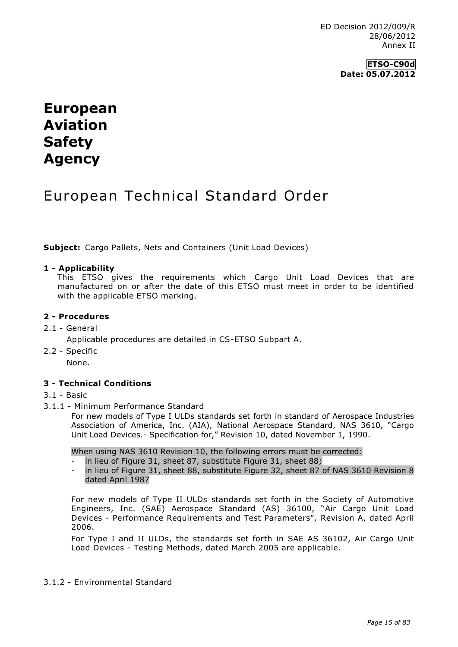ED Decision 2012/009/R 28/06/2012 Annex II

## **ETSO-C90d Date: 05.07.2012**

# **European Aviation Safety Agency**

## European Technical Standard Order

**Subject:** Cargo Pallets, Nets and Containers (Unit Load Devices)

#### **1 - Applicability**

This ETSO gives the requirements which Cargo Unit Load Devices that are manufactured on or after the date of this ETSO must meet in order to be identified with the applicable ETSO marking.

## **2 - Procedures**

2.1 - General

Applicable procedures are detailed in CS-ETSO Subpart A.

2.2 - Specific

None.

## **3 - Technical Conditions**

#### 3.1 - Basic

3.1.1 - Minimum Performance Standard

For new models of Type I ULDs standards set forth in standard of Aerospace Industries Association of America, Inc. (AIA), National Aerospace Standard, NAS 3610, "Cargo Unit Load Devices.- Specification for," Revision 10, dated November 1, 1990.

When using NAS 3610 Revision 10, the following errors must be corrected:

- in lieu of Figure 31, sheet 87, substitute Figure 31, sheet 88;
- in lieu of Figure 31, sheet 88, substitute Figure 32, sheet 87 of NAS 3610 Revision 8 dated April 1987

For new models of Type II ULDs standards set forth in the Society of Automotive Engineers, Inc. (SAE) Aerospace Standard (AS) 36100, "Air Cargo Unit Load Devices - Performance Requirements and Test Parameters", Revision A, dated April 2006.

For Type I and II ULDs, the standards set forth in SAE AS 36102, Air Cargo Unit Load Devices - Testing Methods, dated March 2005 are applicable.

#### 3.1.2 - Environmental Standard